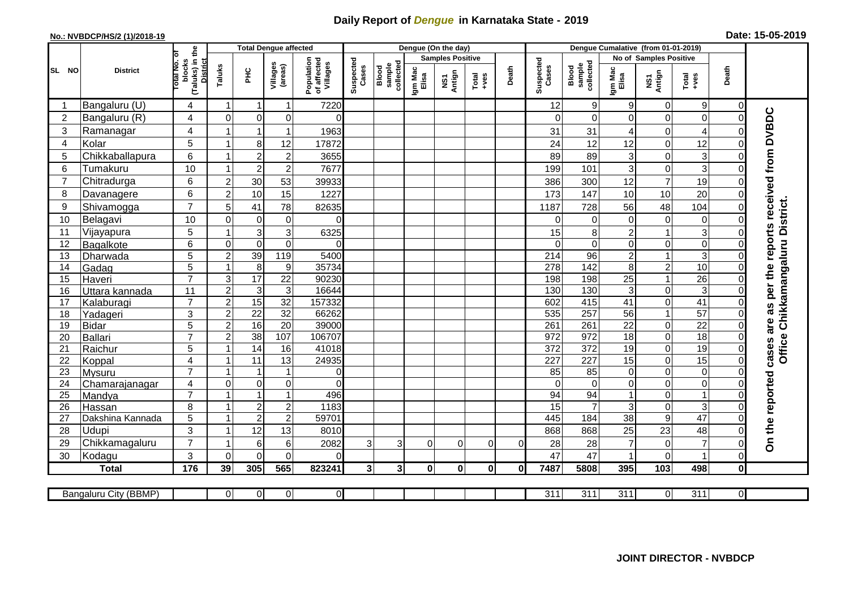## **Daily Report of** *Dengue* **in Karnataka State - 2019**

## **No.: NVBDCP/HS/2 (1)/2018-19 Date: 15-05-2019**

|                       |                            |                                                      |                         | <b>Total Dengue affected</b>     |                     |                                       |                    |                              |                  | Dengue (On the day)     |                  |          |                             |                              |                        |                  |                                                              |                            |                                                  |
|-----------------------|----------------------------|------------------------------------------------------|-------------------------|----------------------------------|---------------------|---------------------------------------|--------------------|------------------------------|------------------|-------------------------|------------------|----------|-----------------------------|------------------------------|------------------------|------------------|--------------------------------------------------------------|----------------------------|--------------------------------------------------|
|                       |                            |                                                      |                         |                                  |                     |                                       |                    |                              |                  | <b>Samples Positive</b> |                  |          |                             |                              | No of Samples Positive |                  |                                                              |                            |                                                  |
| SL NO                 | <b>District</b>            | (Taluks) in the<br>District<br>otal No. of<br>blocks | Taluks                  | <b>PHC</b>                       | Villages<br>(areas) | Population<br>of affected<br>Villages | Suspected<br>Cases | sample<br>collected<br>Blood | Igm Mac<br>Elisa | NS1<br>Antign           | $Tota$<br>$+ves$ | Death    | Suspected<br>Cases          | collected<br>sample<br>Blood | Igm Mac<br>Elisa       | NS1<br>Antign    | $\begin{array}{c}\n\text{Total} \\ \text{Area}\n\end{array}$ | Death                      |                                                  |
|                       | Bangaluru (U)              | 4                                                    | -1                      | -1                               | 1                   | 7220                                  |                    |                              |                  |                         |                  |          | 12                          | 9                            | 9                      | 0                | 9                                                            | 0                          |                                                  |
| $\overline{2}$        | Bangaluru (R)              | 4                                                    | $\mathbf{0}$            | $\mathbf 0$                      | $\mathbf 0$         | $\Omega$                              |                    |                              |                  |                         |                  |          | $\Omega$                    | $\Omega$                     | $\Omega$               | 0                | $\mathbf 0$                                                  | $\Omega$                   |                                                  |
| $\mathbf{3}$          | Ramanagar                  | 4                                                    |                         |                                  | 1                   | 1963                                  |                    |                              |                  |                         |                  |          | 31                          | 31                           | 4                      | 0                | $\overline{4}$                                               | $\bigcap$                  | cases are as per the reports received from DVBDC |
| $\overline{4}$        | Kolar                      | $\overline{5}$                                       | $\overline{1}$          | 8                                | 12                  | 17872                                 |                    |                              |                  |                         |                  |          | 24                          | 12                           | 12                     | 0                | 12                                                           | $\mathbf 0$                |                                                  |
| 5                     | Chikkaballapura            | $6\phantom{1}$                                       |                         | $\overline{2}$                   | $\boldsymbol{2}$    | 3655                                  |                    |                              |                  |                         |                  |          | 89                          | 89                           | 3                      | 0                | $\mathbf{3}$                                                 | 0                          |                                                  |
| $6\phantom{1}6$       | Tumakuru                   | 10                                                   |                         | $\overline{2}$                   | $\overline{c}$      | 7677                                  |                    |                              |                  |                         |                  |          | 199                         | 101                          | 3                      | 0                | $\overline{3}$                                               | $\mathbf 0$                |                                                  |
| $\overline{7}$        | Chitradurga                | 6                                                    | $\overline{2}$          | 30                               | 53                  | 39933                                 |                    |                              |                  |                         |                  |          | 386                         | 300                          | 12                     | $\overline{7}$   | 19                                                           | $\Omega$                   |                                                  |
| 8                     | Davanagere                 | 6                                                    | $\overline{2}$          | 10                               | 15                  | 1227                                  |                    |                              |                  |                         |                  |          | 173                         | 147                          | 10                     | 10               | 20                                                           | $\mathbf 0$                |                                                  |
| 9                     | Shivamogga                 | $\overline{7}$                                       | 5                       | 41                               | 78                  | 82635                                 |                    |                              |                  |                         |                  |          | 1187                        | 728                          | 56                     | 48               | 104                                                          | $\Omega$                   | Office Chikkamangaluru District.                 |
| 10                    | Belagavi                   | 10                                                   | $\mathbf 0$             | $\pmb{0}$                        | $\pmb{0}$           | $\Omega$                              |                    |                              |                  |                         |                  |          | $\Omega$                    | 0                            | 0                      | $\boldsymbol{0}$ | $\mathsf{O}\xspace$                                          | $\Omega$                   |                                                  |
| 11                    | Vijayapura                 | 5                                                    |                         | 3                                | 3                   | 6325                                  |                    |                              |                  |                         |                  |          | 15                          | 8                            | $\overline{c}$         | 1                | $\overline{3}$                                               | $\Omega$                   |                                                  |
| 12                    | Bagalkote                  | 6                                                    | $\mathbf 0$             | $\pmb{0}$                        | $\mathbf 0$         | $\Omega$                              |                    |                              |                  |                         |                  |          | $\Omega$                    | $\mathbf 0$                  | 0                      | 0                | $\overline{\mathsf{o}}$                                      | $\mathbf 0$                |                                                  |
| 13                    | Dharwada                   | 5                                                    | $\overline{2}$          | 39                               | 119                 | 5400                                  |                    |                              |                  |                         |                  |          | 214                         | $\overline{96}$              | $\boldsymbol{2}$       | 1                | $\overline{3}$                                               | $\Omega$                   |                                                  |
| 14                    | Gadag                      | $\overline{5}$                                       |                         | $\overline{8}$                   | 9                   | 35734                                 |                    |                              |                  |                         |                  |          | 278                         | 142                          | 8                      | $\overline{2}$   | 10                                                           | $\mathbf 0$                |                                                  |
| 15                    | Haveri                     | $\overline{7}$                                       | 3                       | 17                               | 22                  | 90230                                 |                    |                              |                  |                         |                  |          | 198                         | 198                          | 25                     | 1                | $\overline{26}$                                              | $\mathbf 0$                |                                                  |
| 16                    | Uttara kannada             | 11                                                   | $\overline{2}$          | 3                                | $\overline{3}$      | 16644                                 |                    |                              |                  |                         |                  |          | 130                         | 130                          | 3                      | 0                | ω                                                            | $\Omega$                   |                                                  |
| 17                    | Kalaburagi                 | $\overline{7}$                                       | $\overline{2}$          | 15                               | $\overline{32}$     | 157332                                |                    |                              |                  |                         |                  |          | 602                         | 415                          | 41                     | 0                | 41                                                           | $\mathbf 0$                |                                                  |
| 18                    | Yadageri                   | 3                                                    | $\overline{2}$          | 22                               | 32                  | 66262                                 |                    |                              |                  |                         |                  |          | 535                         | 257                          | 56                     | $\mathbf{1}$     | $\overline{57}$                                              | $\Omega$                   |                                                  |
| 19                    | Bidar                      | 5                                                    | $\overline{2}$          | 16                               | 20                  | 39000                                 |                    |                              |                  |                         |                  |          | 261                         | 261                          | 22                     | 0                | $\overline{22}$                                              | $\mathbf 0$                |                                                  |
| 20                    | Ballari                    | $\overline{7}$                                       | $\overline{2}$          | 38                               | 107                 | 106707                                |                    |                              |                  |                         |                  |          | 972                         | 972                          | $\overline{18}$        | 0                | 18                                                           | $\Omega$                   |                                                  |
| 21                    | Raichur                    | 5                                                    |                         | $\overline{14}$                  | 16                  | 41018                                 |                    |                              |                  |                         |                  |          | $\overline{372}$            | $\overline{372}$             | 19                     | 0                | 19                                                           | $\mathbf 0$                |                                                  |
| 22                    | Koppal                     | 4                                                    |                         | 11                               | 13                  | 24935                                 |                    |                              |                  |                         |                  |          | 227                         | $\overline{227}$             | 15                     | 0                | 15                                                           | $\overline{0}$             |                                                  |
| 23                    | Mysuru                     | $\overline{7}$                                       |                         | -1                               | $\mathbf{1}$        | $\overline{0}$                        |                    |                              |                  |                         |                  |          | 85                          | $\overline{85}$              | 0                      | 0                | $\overline{0}$                                               | $\mathbf 0$                |                                                  |
| 24                    | Chamarajanagar             | $\overline{4}$<br>$\overline{7}$                     | $\mathbf 0$             | $\overline{0}$<br>$\overline{1}$ | 0<br>$\mathbf{1}$   | $\Omega$<br>496                       |                    |                              |                  |                         |                  |          | $\Omega$<br>$\overline{94}$ | $\overline{0}$<br>94         | $\mathbf 0$            | 0                | $\overline{0}$<br>$\overline{1}$                             | $\mathbf 0$                |                                                  |
| $\overline{25}$<br>26 | Mandya                     | 8                                                    |                         | $\sqrt{2}$                       | $\overline{c}$      | 1183                                  |                    |                              |                  |                         |                  |          | 15                          | $\overline{7}$               | 3                      | 0<br>0           | $\mathbf{3}$                                                 | $\mathbf 0$<br>$\mathbf 0$ |                                                  |
| 27                    | Hassan<br>Dakshina Kannada | 5                                                    | $\overline{\mathbf{1}}$ | $\overline{2}$                   | $\overline{2}$      | 59701                                 |                    |                              |                  |                         |                  |          | 445                         | 184                          | $\overline{38}$        | $\overline{9}$   | 47                                                           | $\overline{0}$             |                                                  |
| 28                    | <b>Udupi</b>               | 3                                                    |                         | 12                               | 13                  | 8010                                  |                    |                              |                  |                         |                  |          | 868                         | 868                          | 25                     | 23               | 48                                                           | $\Omega$                   |                                                  |
| 29                    | Chikkamagaluru             | $\overline{7}$                                       |                         | 6                                | 6                   | 2082                                  | 3                  | $\overline{3}$               | $\Omega$         | $\Omega$                | $\Omega$         | $\Omega$ | 28                          | 28                           | $\overline{7}$         | 0                | $\overline{7}$                                               | $\Omega$                   | On the reported                                  |
| 30                    | Kodagu                     | $\mathbf{3}$                                         | $\Omega$                | $\Omega$                         | $\Omega$            | $\Omega$                              |                    |                              |                  |                         |                  |          | 47                          | 47                           |                        | $\mathbf 0$      | $\overline{1}$                                               | $\Omega$                   |                                                  |
|                       | <b>Total</b>               | 176                                                  | 39                      | 305                              | 565                 | 823241                                | $\mathbf{3}$       | 3 <sup>1</sup>               | $\bf{0}$         | $\mathbf{0}$            | $\mathbf{0}$     | 0l       | 7487                        | 5808                         | 395                    | 103              | 498                                                          | $\mathbf 0$                |                                                  |
|                       |                            |                                                      |                         |                                  |                     |                                       |                    |                              |                  |                         |                  |          |                             |                              |                        |                  |                                                              |                            |                                                  |
|                       | Bangaluru City (BBMP)      |                                                      | $\overline{0}$          | $\overline{0}$                   | $\overline{0}$      | $\overline{0}$                        |                    |                              |                  |                         |                  |          | $\overline{311}$            | $\overline{311}$             | $\overline{311}$       | 0                | $\overline{311}$                                             | $\overline{0}$             |                                                  |